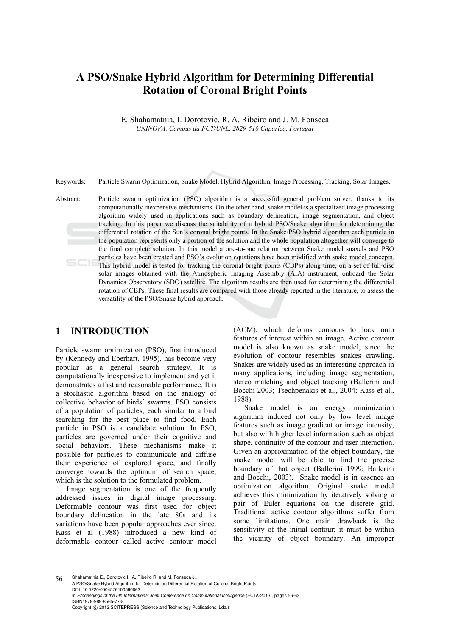# **A PSO/Snake Hybrid Algorithm for Determining Differential Rotation of Coronal Bright Points**

E. Shahamatnia, I. Dorotovic, R. A. Ribeiro and J. M. Fonseca *UNINOVA, Campus da FCT/UNL, 2829-516 Caparica, Portugal* 

Keywords: Particle Swarm Optimization, Snake Model, Hybrid Algorithm, Image Processing, Tracking, Solar Images.

Abstract: Particle swarm optimization (PSO) algorithm is a successful general problem solver, thanks to its computationally inexpensive mechanisms. On the other hand, snake model is a specialized image processing algorithm widely used in applications such as boundary delineation, image segmentation, and object tracking. In this paper we discuss the suitability of a hybrid PSO/Snake algorithm for determining the differential rotation of the Sun's coronal bright points. In the Snake/PSO hybrid algorithm each particle in the population represents only a portion of the solution and the whole population altogether will converge to the final complete solution. In this model a one-to-one relation between Snake model snaxels and PSO particles have been created and PSO's evolution equations have been modified with snake model concepts. This hybrid model is tested for tracking the coronal bright points (CBPs) along time, on a set of full-disc solar images obtained with the Atmospheric Imaging Assembly (AIA) instrument, onboard the Solar Dynamics Observatory (SDO) satellite. The algorithm results are then used for determining the differential rotation of CBPs. These final results are compared with those already reported in the literature, to assess the versatility of the PSO/Snake hybrid approach.

#### **1 INTRODUCTION**

Particle swarm optimization (PSO), first introduced by (Kennedy and Eberhart, 1995), has become very popular as a general search strategy. It is computationally inexpensive to implement and yet it demonstrates a fast and reasonable performance. It is a stochastic algorithm based on the analogy of collective behavior of birds´ swarms. PSO consists of a population of particles, each similar to a bird searching for the best place to find food. Each particle in PSO is a candidate solution. In PSO, particles are governed under their cognitive and social behaviors. These mechanisms make it possible for particles to communicate and diffuse their experience of explored space, and finally converge towards the optimum of search space, which is the solution to the formulated problem.

Image segmentation is one of the frequently addressed issues in digital image processing. Deformable contour was first used for object boundary delineation in the late 80s and its variations have been popular approaches ever since. Kass et al (1988) introduced a new kind of deformable contour called active contour model (ACM), which deforms contours to lock onto features of interest within an image. Active contour model is also known as snake model, since the evolution of contour resembles snakes crawling. Snakes are widely used as an interesting approach in many applications, including image segmentation, stereo matching and object tracking (Ballerini and Bocchi 2003; Tsechpenakis et al., 2004; Kass et al., 1988).

Snake model is an energy minimization algorithm induced not only by low level image features such as image gradient or image intensity, but also with higher level information such as object shape, continuity of the contour and user interaction. Given an approximation of the object boundary, the snake model will be able to find the precise boundary of that object (Ballerini 1999; Ballerini and Bocchi, 2003). Snake model is in essence an optimization algorithm. Original snake model achieves this minimization by iteratively solving a pair of Euler equations on the discrete grid. Traditional active contour algorithms suffer from some limitations. One main drawback is the sensitivity of the initial contour; it must be within the vicinity of object boundary. An improper

56 Shahamatnia E., Dorotovic I., A. Ribeiro R. and M. Fonseca J.. A PSO/Snake Hybrid Algorithm for Determining Differential Rotation of Coronal Bright Points. DOI: 10.5220/0004576100560063 In *Proceedings of the 5th International Joint Conference on Computational Intelligence* (ECTA-2013), pages 56-63 ISBN: 978-989-8565-77-8 Copyright © 2013 SCITEPRESS (Science and Technology Publications, Lda.)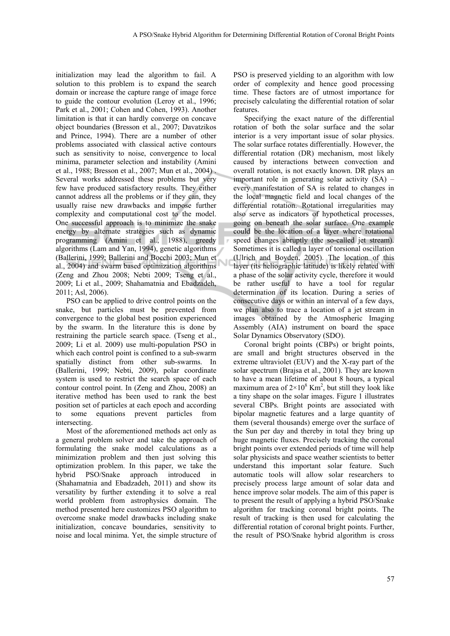initialization may lead the algorithm to fail. A solution to this problem is to expand the search domain or increase the capture range of image force to guide the contour evolution (Leroy et al., 1996; Park et al., 2001; Cohen and Cohen, 1993). Another limitation is that it can hardly converge on concave object boundaries (Bresson et al., 2007; Davatzikos and Prince, 1994). There are a number of other problems associated with classical active contours such as sensitivity to noise, convergence to local minima, parameter selection and instability (Amini et al., 1988; Bresson et al., 2007; Mun et al., 2004) . Several works addressed these problems but very few have produced satisfactory results. They either cannot address all the problems or if they can, they usually raise new drawbacks and impose further complexity and computational cost to the model. One successful approach is to minimize the snake energy by alternate strategies such as dynamic programming (Amini et al., 1988), greedy algorithms (Lam and Yan, 1994), genetic algorithms (Ballerini, 1999; Ballerini and Bocchi 2003; Mun et al., 2004) and swarm based optimization algorithms (Zeng and Zhou 2008; Nebti 2009; Tseng et al., 2009; Li et al., 2009; Shahamatnia and Ebadzadeh, 2011; Asl, 2006).

PSO can be applied to drive control points on the snake, but particles must be prevented from convergence to the global best position experienced by the swarm. In the literature this is done by restraining the particle search space. (Tseng et al., 2009; Li et al. 2009) use multi-population PSO in which each control point is confined to a sub-swarm spatially distinct from other sub-swarms. In (Ballerini, 1999; Nebti, 2009), polar coordinate system is used to restrict the search space of each contour control point. In (Zeng and Zhou, 2008) an iterative method has been used to rank the best position set of particles at each epoch and according to some equations prevent particles from intersecting.

Most of the aforementioned methods act only as a general problem solver and take the approach of formulating the snake model calculations as a minimization problem and then just solving this optimization problem. In this paper, we take the hybrid PSO/Snake approach introduced in (Shahamatnia and Ebadzadeh, 2011) and show its versatility by further extending it to solve a real world problem from astrophysics domain. The method presented here customizes PSO algorithm to overcome snake model drawbacks including snake initialization, concave boundaries, sensitivity to noise and local minima. Yet, the simple structure of

PSO is preserved yielding to an algorithm with low order of complexity and hence good processing time. These factors are of utmost importance for precisely calculating the differential rotation of solar features.

Specifying the exact nature of the differential rotation of both the solar surface and the solar interior is a very important issue of solar physics. The solar surface rotates differentially. However, the differential rotation (DR) mechanism, most likely caused by interactions between convection and overall rotation, is not exactly known. DR plays an important role in generating solar activity (SA) – every manifestation of SA is related to changes in the local magnetic field and local changes of the differential rotation. Rotational irregularities may also serve as indicators of hypothetical processes, going on beneath the solar surface. One example could be the location of a layer where rotational speed changes abruptly (the so-called jet stream). Sometimes it is called a layer of torsional oscillation (Ulrich and Boyden, 2005). The location of this layer (its heliographic latitude) is likely related with a phase of the solar activity cycle, therefore it would be rather useful to have a tool for regular determination of its location. During a series of consecutive days or within an interval of a few days, we plan also to trace a location of a jet stream in images obtained by the Atmospheric Imaging Assembly (AIA) instrument on board the space Solar Dynamics Observatory (SDO).

Coronal bright points (CBPs) or bright points, are small and bright structures observed in the extreme ultraviolet (EUV) and the X-ray part of the solar spectrum (Brajsa et al., 2001). They are known to have a mean lifetime of about 8 hours, a typical maximum area of  $2 \times 10^8$  Km<sup>2</sup>, but still they look like a tiny shape on the solar images. Figure 1 illustrates several CBPs. Bright points are associated with bipolar magnetic features and a large quantity of them (several thousands) emerge over the surface of the Sun per day and thereby in total they bring up huge magnetic fluxes. Precisely tracking the coronal bright points over extended periods of time will help solar physicists and space weather scientists to better understand this important solar feature. Such automatic tools will allow solar researchers to precisely process large amount of solar data and hence improve solar models. The aim of this paper is to present the result of applying a hybrid PSO/Snake algorithm for tracking coronal bright points. The result of tracking is then used for calculating the differential rotation of coronal bright points. Further, the result of PSO/Snake hybrid algorithm is cross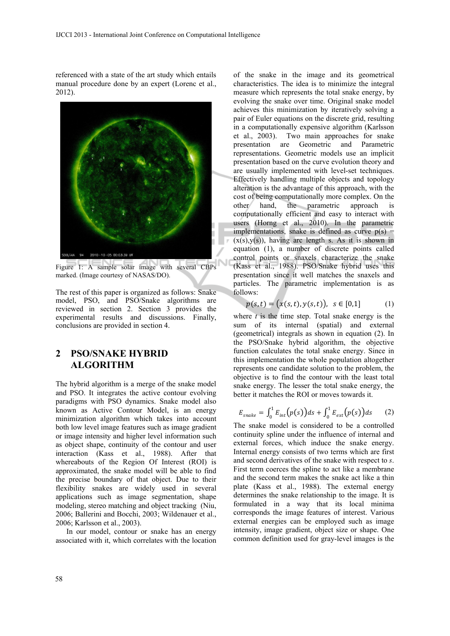referenced with a state of the art study which entails manual procedure done by an expert (Lorenc et al., 2012).



Figure 1: A sample solar image with several CBPs marked. (Image courtesy of NASAS/DO).

The rest of this paper is organized as follows: Snake model, PSO, and PSO/Snake algorithms are reviewed in section 2. Section 3 provides the experimental results and discussions. Finally, conclusions are provided in section 4.

# **2 PSO/SNAKE HYBRID ALGORITHM**

The hybrid algorithm is a merge of the snake model and PSO. It integrates the active contour evolving paradigms with PSO dynamics. Snake model also known as Active Contour Model, is an energy minimization algorithm which takes into account both low level image features such as image gradient or image intensity and higher level information such as object shape, continuity of the contour and user interaction (Kass et al., 1988). After that whereabouts of the Region Of Interest (ROI) is approximated, the snake model will be able to find the precise boundary of that object. Due to their flexibility snakes are widely used in several applications such as image segmentation, shape modeling, stereo matching and object tracking (Niu, 2006; Ballerini and Bocchi, 2003; Wildenauer et al., 2006; Karlsson et al., 2003).

In our model, contour or snake has an energy associated with it, which correlates with the location

of the snake in the image and its geometrical characteristics. The idea is to minimize the integral measure which represents the total snake energy, by evolving the snake over time. Original snake model achieves this minimization by iteratively solving a pair of Euler equations on the discrete grid, resulting in a computationally expensive algorithm (Karlsson et al., 2003). Two main approaches for snake presentation are Geometric and Parametric representations. Geometric models use an implicit presentation based on the curve evolution theory and are usually implemented with level-set techniques. Effectively handling multiple objects and topology alteration is the advantage of this approach, with the cost of being computationally more complex. On the other hand, the parametric approach is computationally efficient and easy to interact with users (Horng et al., 2010). In the parametric implementations, snake is defined as curve  $p(s)$  =  $(x(s),y(s))$ , having arc length s. As it is shown in equation (1), a number of discrete points called control points or snaxels characterize the snake (Kass et al., 1988). PSO/Snake hybrid uses this presentation since it well matches the snaxels and particles. The parametric implementation is as follows:

$$
p(s,t) = (x(s,t), y(s,t)), \ s \in [0,1]
$$
 (1)

where  $t$  is the time step. Total snake energy is the sum of its internal (spatial) and external (geometrical) integrals as shown in equation (2). In the PSO/Snake hybrid algorithm, the objective function calculates the total snake energy. Since in this implementation the whole population altogether represents one candidate solution to the problem, the objective is to find the contour with the least total snake energy. The lesser the total snake energy, the better it matches the ROI or moves towards it.

$$
E_{\text{snake}} = \int_0^1 E_{\text{int}}(p(s))ds + \int_0^1 E_{\text{ext}}(p(s))ds \qquad (2)
$$

The snake model is considered to be a controlled continuity spline under the influence of internal and external forces, which induce the snake energy. Internal energy consists of two terms which are first and second derivatives of the snake with respect to *s*. First term coerces the spline to act like a membrane and the second term makes the snake act like a thin plate (Kass et al., 1988). The external energy determines the snake relationship to the image. It is formulated in a way that its local minima corresponds the image features of interest. Various external energies can be employed such as image intensity, image gradient, object size or shape. One common definition used for gray-level images is the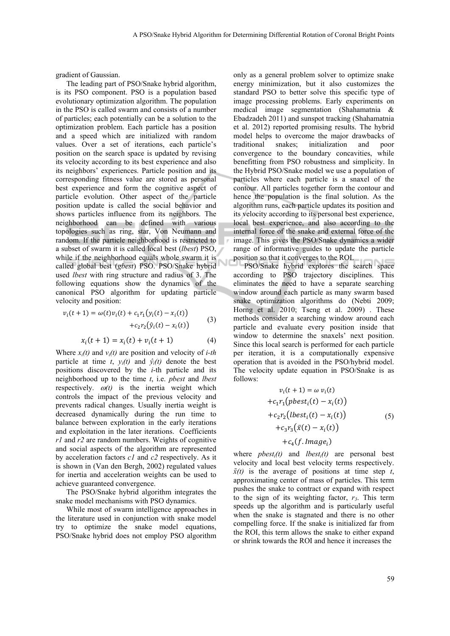gradient of Gaussian.

The leading part of PSO/Snake hybrid algorithm, is its PSO component. PSO is a population based evolutionary optimization algorithm. The population in the PSO is called swarm and consists of a number of particles; each potentially can be a solution to the optimization problem. Each particle has a position and a speed which are initialized with random values. Over a set of iterations, each particle's position on the search space is updated by revising its velocity according to its best experience and also its neighbors' experiences. Particle position and its corresponding fitness value are stored as personal best experience and form the cognitive aspect of particle evolution. Other aspect of the particle position update is called the social behavior and shows particles influence from its neighbors. The neighborhood can be defined with various topologies such as ring, star, Von Neumann and random. If the particle neighborhood is restricted to a subset of swarm it is called local best (*lbest*) PSO, while if the neighborhood equals whole swarm it is called global best (*gbest*) PSO. PSO/Snake hybrid used *lbest* with ring structure and radius of 3. The following equations show the dynamics of the canonical PSO algorithm for updating particle velocity and position:

$$
v_i(t+1) = \omega(t)v_i(t) + c_1r_1(y_i(t) - x_i(t)) + c_2r_2(\hat{y}_i(t) - x_i(t))
$$
(3)

$$
x_i(t+1) = x_i(t) + v_i(t+1)
$$
 (4)

Where  $x_i(t)$  and  $v_i(t)$  are position and velocity of *i-th* particle at time *t*,  $y_i(t)$  and  $\hat{y}_i(t)$  denote the best positions discovered by the *i*-th particle and its neighborhood up to the time *t*, i.e. *pbest* and *lbest*  respectively.  $\omega(t)$  is the inertia weight which controls the impact of the previous velocity and prevents radical changes. Usually inertia weight is decreased dynamically during the run time to balance between exploration in the early iterations and exploitation in the later iterations. Coefficients *r1* and *r2* are random numbers. Weights of cognitive and social aspects of the algorithm are represented by acceleration factors *c1* and *c2* respectively. As it is shown in (Van den Bergh, 2002) regulated values for inertia and acceleration weights can be used to achieve guaranteed convergence.

The PSO/Snake hybrid algorithm integrates the snake model mechanisms with PSO dynamics.

While most of swarm intelligence approaches in the literature used in conjunction with snake model try to optimize the snake model equations, PSO/Snake hybrid does not employ PSO algorithm

only as a general problem solver to optimize snake energy minimization, but it also customizes the standard PSO to better solve this specific type of image processing problems. Early experiments on medical image segmentation (Shahamatnia & Ebadzadeh 2011) and sunspot tracking (Shahamatnia et al. 2012) reported promising results. The hybrid model helps to overcome the major drawbacks of traditional snakes; initialization and poor convergence to the boundary concavities, while benefitting from PSO robustness and simplicity. In the Hybrid PSO/Snake model we use a population of particles where each particle is a snaxel of the contour. All particles together form the contour and hence the population is the final solution. As the algorithm runs, each particle updates its position and its velocity according to its personal best experience, local best experience, and also according to the internal force of the snake and external force of the image. This gives the PSO/Snake dynamics a wider range of informative guides to update the particle position so that it converges to the ROI.

PSO/Snake hybrid explores the search space according to PSO trajectory disciplines. This eliminates the need to have a separate searching window around each particle as many swarm based snake optimization algorithms do (Nebti 2009; Horng et al. 2010; Tseng et al. 2009) . These methods consider a searching window around each particle and evaluate every position inside that window to determine the snaxels' next position. Since this local search is performed for each particle per iteration, it is a computationally expensive operation that is avoided in the PSO/hybrid model. The velocity update equation in PSO/Snake is as follows:

$$
v_i(t+1) = \omega v_i(t)
$$
  
+
$$
c_1r_1(plest_i(t) - x_i(t))
$$
  
+
$$
c_2r_2(lbest_i(t) - x_i(t))
$$
  
+
$$
c_3r_3(\bar{x}(t) - x_i(t))
$$
  
+
$$
c_4(f. Image_i)
$$
 (5)

where  $pbest<sub>i</sub>(t)$  and  $lbest<sub>i</sub>(t)$  are personal best velocity and local best velocity terms respectively.  $\bar{x}(t)$  is the average of positions at time step *t*, approximating center of mass of particles. This term pushes the snake to contract or expand with respect to the sign of its weighting factor,  $r_3$ . This term speeds up the algorithm and is particularly useful when the snake is stagnated and there is no other compelling force. If the snake is initialized far from the ROI, this term allows the snake to either expand or shrink towards the ROI and hence it increases the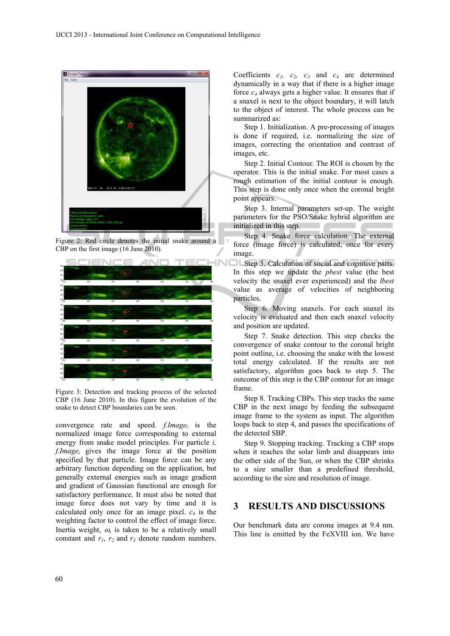

Figure 2: Red circle denotes the initial snake around a CBP on the first image (16 June 2010).



Figure 3: Detection and tracking process of the selected CBP (16 June 2010). In this figure the evolution of the snake to detect CBP boundaries can be seen.

convergence rate and speed. *f.Imagei* is the normalized image force corresponding to external energy from snake model principles. For particle *i, f.Imagei* gives the image force at the position specified by that particle. Image force can be any arbitrary function depending on the application, but generally external energies such as image gradient and gradient of Gaussian functional are enough for satisfactory performance. It must also be noted that image force does not vary by time and it is calculated only once for an image pixel.  $c_4$  is the weighting factor to control the effect of image force. Inertia weight,  $\omega$ , is taken to be a relatively small constant and  $r_1$ ,  $r_2$  and  $r_3$  denote random numbers.

Coefficients  $c_1$ ,  $c_2$ ,  $c_3$  and  $c_4$  are determined dynamically in a way that if there is a higher image force *c4* always gets a higher value. It ensures that if a snaxel is next to the object boundary, it will latch to the object of interest. The whole process can be summarized as:

Step 1. Initialization. A pre-processing of images is done if required, i.e. normalizing the size of images, correcting the orientation and contrast of images, etc.

Step 2. Initial Contour. The ROI is chosen by the operator. This is the initial snake. For most cases a rough estimation of the initial contour is enough. This step is done only once when the coronal bright point appears.

Step 3. Internal parameters set-up. The weight parameters for the PSO/Snake hybrid algorithm are initialized in this step.

Step 4. Snake force calculation. The external force (image force) is calculated, once for every image.

Step 5. Calculation of social and cognitive parts. In this step we update the *pbest* value (the best velocity the snaxel ever experienced) and the *lbest* value as average of velocities of neighboring particles.

Step 6. Moving snaxels. For each snaxel its velocity is evaluated and then each snaxel velocity and position are updated.

Step 7. Snake detection. This step checks the convergence of snake contour to the coronal bright point outline, i.e. choosing the snake with the lowest total energy calculated. If the results are not satisfactory, algorithm goes back to step 5. The outcome of this step is the CBP contour for an image frame.

Step 8. Tracking CBPs. This step tracks the same CBP in the next image by feeding the subsequent image frame to the system as input. The algorithm loops back to step 4, and passes the specifications of the detected SBP.

Step 9. Stopping tracking. Tracking a CBP stops when it reaches the solar limb and disappears into the other side of the Sun, or when the CBP shrinks to a size smaller than a predefined threshold, according to the size and resolution of image.

### **3 RESULTS AND DISCUSSIONS**

Our benchmark data are corona images at 9.4 nm. This line is emitted by the FeXVIII ion. We have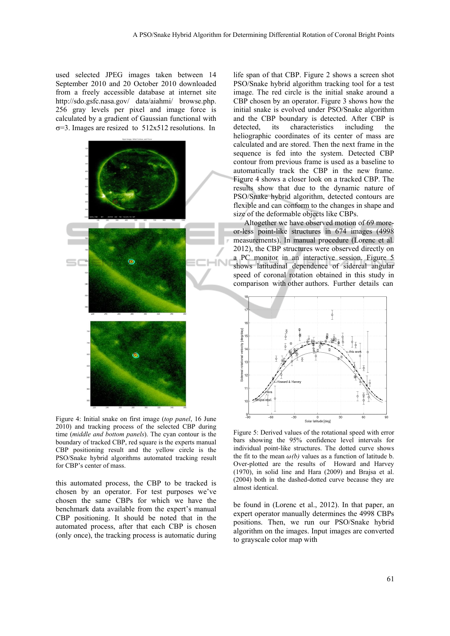used selected JPEG images taken between 14 September 2010 and 20 October 2010 downloaded from a freely accessible database at internet site http://sdo.gsfc.nasa.gov/ data/aiahmi/ browse.php. 256 gray levels per pixel and image force is calculated by a gradient of Gaussian functional with  $\sigma$ =3. Images are resized to 512x512 resolutions. In



Figure 4: Initial snake on first image (*top panel*, 16 June 2010) and tracking process of the selected CBP during time (*middle and bottom panels*). The cyan contour is the boundary of tracked CBP, red square is the experts manual CBP positioning result and the yellow circle is the PSO/Snake hybrid algorithms automated tracking result for CBP's center of mass.

this automated process, the CBP to be tracked is chosen by an operator. For test purposes we've chosen the same CBPs for which we have the benchmark data available from the expert's manual CBP positioning. It should be noted that in the automated process, after that each CBP is chosen (only once), the tracking process is automatic during

life span of that CBP. Figure 2 shows a screen shot PSO/Snake hybrid algorithm tracking tool for a test image. The red circle is the initial snake around a CBP chosen by an operator. Figure 3 shows how the initial snake is evolved under PSO/Snake algorithm and the CBP boundary is detected. After CBP is detected, its characteristics including the heliographic coordinates of its center of mass are calculated and are stored. Then the next frame in the sequence is fed into the system. Detected CBP contour from previous frame is used as a baseline to automatically track the CBP in the new frame. Figure 4 shows a closer look on a tracked CBP. The results show that due to the dynamic nature of PSO/Snake hybrid algorithm, detected contours are flexible and can conform to the changes in shape and size of the deformable objects like CBPs.

Altogether we have observed motion of 69 moreor-less point-like structures in 674 images (4998 measurements). In manual procedure (Lorenc et al. 2012), the CBP structures were observed directly on a PC monitor in an interactive session. Figure 5 shows latitudinal dependence of sidereal angular speed of coronal rotation obtained in this study in comparison with other authors. Further details can



Figure 5: Derived values of the rotational speed with error bars showing the 95% confidence level intervals for individual point-like structures. The dotted curve shows the fit to the mean  $\omega(b)$  values as a function of latitude b. Over-plotted are the results of Howard and Harvey (1970), in solid line and Hara (2009) and Brajsa et al. (2004) both in the dashed-dotted curve because they are almost identical.

be found in (Lorenc et al., 2012). In that paper, an expert operator manually determines the 4998 CBPs positions. Then, we run our PSO/Snake hybrid algorithm on the images. Input images are converted to grayscale color map with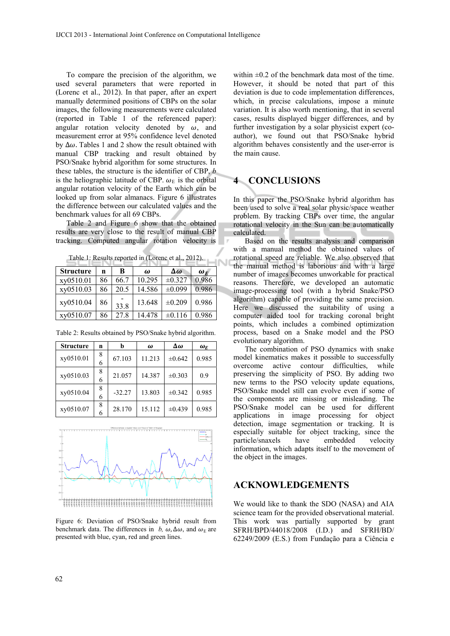To compare the precision of the algorithm, we used several parameters that were reported in (Lorenc et al., 2012). In that paper, after an expert manually determined positions of CBPs on the solar images, the following measurements were calculated (reported in Table 1 of the referenced paper): angular rotation velocity denoted by  $\omega$ , and measurement error at 95% confidence level denoted by  $\Delta\omega$ . Tables 1 and 2 show the result obtained with manual CBP tracking and result obtained by PSO/Snake hybrid algorithm for some structures. In these tables, the structure is the identifier of CBP, *b* is the heliographic latitude of CBP.  $\omega_F$  is the orbital angular rotation velocity of the Earth which can be looked up from solar almanacs. Figure 6 illustrates the difference between our calculated values and the benchmark values for all 69 CBPs.

Table 2 and Figure 6 show that the obtained results are very close to the result of manual CBP tracking. Computed angular rotation velocity is

| Table 1: Results reported in (Lorenc et al., 2012). |  |
|-----------------------------------------------------|--|
|-----------------------------------------------------|--|

| Table 1. Results reported in (Lorenc et al., $2012$ ). |    |      |          |             |            |  |  |
|--------------------------------------------------------|----|------|----------|-------------|------------|--|--|
| <b>Structure</b>                                       | n  | B    | $\omega$ | Δω          | $\omega_F$ |  |  |
| xy0510.01                                              | 86 | 66.7 | 10.295   | $\pm 0.327$ | 0.986      |  |  |
| xy0510.03                                              | 86 | 20.5 | 14.586   | ±0.099      | 0.986      |  |  |
| xy0510.04                                              | 86 | 33.8 | 13.648   | ±0.209      | 0.986      |  |  |
| xy0510.07                                              | 86 | 27.8 | 14.478   | $\pm 0.116$ | 0.986      |  |  |

| <b>Structure</b> | n      | b        | $\omega$ | $\Delta\omega$ | $\omega_F$ |
|------------------|--------|----------|----------|----------------|------------|
| xy0510.01        | 8<br>6 | 67.103   | 11.213   | ±0.642         | 0.985      |
| xy0510.03        | 8<br>6 | 21.057   | 14.387   | $\pm 0.303$    | 0.9        |
| xy0510.04        | 8<br>6 | $-32.27$ | 13.803   | $\pm 0.342$    | 0.985      |
| xy0510.07        | 8<br>6 | 28.170   | 15.112   | $\pm 0.439$    | 0.985      |

Table 2: Results obtained by PSO/Snake hybrid algorithm.



Figure 6: Deviation of PSO/Snake hybrid result from benchmark data. The differences in *b*,  $\omega$ ,  $\Delta\omega$ , and  $\omega_F$  are presented with blue, cyan, red and green lines.

within  $\pm 0.2$  of the benchmark data most of the time. However, it should be noted that part of this deviation is due to code implementation differences, which, in precise calculations, impose a minute variation. It is also worth mentioning, that in several cases, results displayed bigger differences, and by further investigation by a solar physicist expert (coauthor), we found out that PSO/Snake hybrid algorithm behaves consistently and the user-error is the main cause.

#### **4 CONCLUSIONS**

In this paper the PSO/Snake hybrid algorithm has been used to solve a real solar physic/space weather problem. By tracking CBPs over time, the angular rotational velocity in the Sun can be automatically calculated.

Based on the results analysis and comparison with a manual method the obtained values of rotational speed are reliable. We also observed that the manual method is laborious and with a large number of images becomes unworkable for practical reasons. Therefore, we developed an automatic image-processing tool (with a hybrid Snake/PSO algorithm) capable of providing the same precision. Here we discussed the suitability of using a computer aided tool for tracking coronal bright points, which includes a combined optimization process, based on a Snake model and the PSO evolutionary algorithm.

The combination of PSO dynamics with snake model kinematics makes it possible to successfully overcome active contour difficulties, while preserving the simplicity of PSO. By adding two new terms to the PSO velocity update equations, PSO/Snake model still can evolve even if some of the components are missing or misleading. The PSO/Snake model can be used for different applications in image processing for object detection, image segmentation or tracking. It is especially suitable for object tracking, since the particle/snaxels have embedded velocity information, which adapts itself to the movement of the object in the images.

## **ACKNOWLEDGEMENTS**

We would like to thank the SDO (NASA) and AIA science team for the provided observational material. This work was partially supported by grant SFRH/BPD/44018/2008 (I.D.) and SFRH/BD/ 62249/2009 (E.S.) from Fundação para a Ciência e